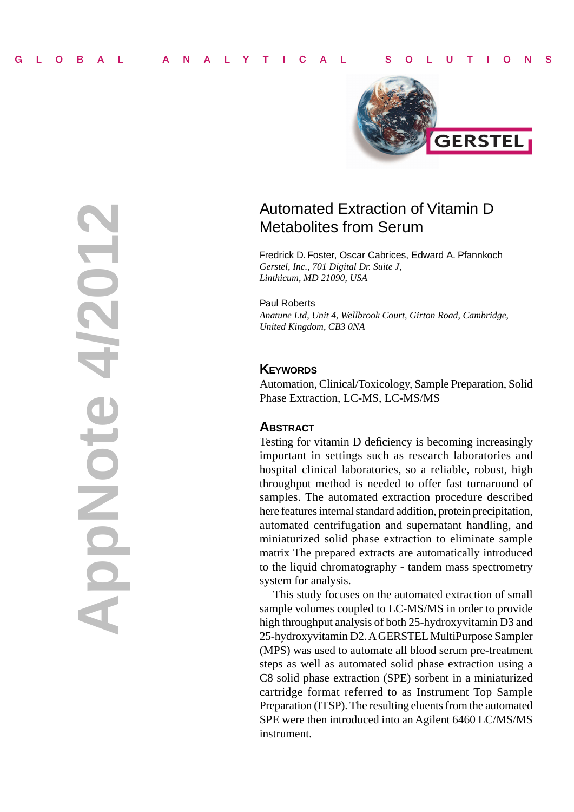

# Automated Extraction of Vitamin D Metabolites from Serum

Fredrick D. Foster, Oscar Cabrices, Edward A. Pfannkoch *Gerstel, Inc., 701 Digital Dr. Suite J, Linthicum, MD 21090, USA*

Paul Roberts *Anatune Ltd, Unit 4, Wellbrook Court, Girton Road, Cambridge, United Kingdom, CB3 0NA*

# **KEYWORDS**

Automation, Clinical/Toxicology, Sample Preparation, Solid Phase Extraction, LC-MS, LC-MS/MS

# **ABSTRACT**

**AppNote 4/2012**

HopMote

Testing for vitamin D deficiency is becoming increasingly important in settings such as research laboratories and hospital clinical laboratories, so a reliable, robust, high throughput method is needed to offer fast turnaround of samples. The automated extraction procedure described here features internal standard addition, protein precipitation, automated centrifugation and supernatant handling, and miniaturized solid phase extraction to eliminate sample matrix The prepared extracts are automatically introduced to the liquid chromatography - tandem mass spectrometry system for analysis.

This study focuses on the automated extraction of small sample volumes coupled to LC-MS/MS in order to provide high throughput analysis of both 25-hydroxyvitamin D3 and 25-hydroxyvitamin D2. A GERSTEL MultiPurpose Sampler (MPS) was used to automate all blood serum pre-treatment steps as well as automated solid phase extraction using a C8 solid phase extraction (SPE) sorbent in a miniaturized cartridge format referred to as Instrument Top Sample Preparation (ITSP). The resulting eluents from the automated SPE were then introduced into an Agilent 6460 LC/MS/MS instrument.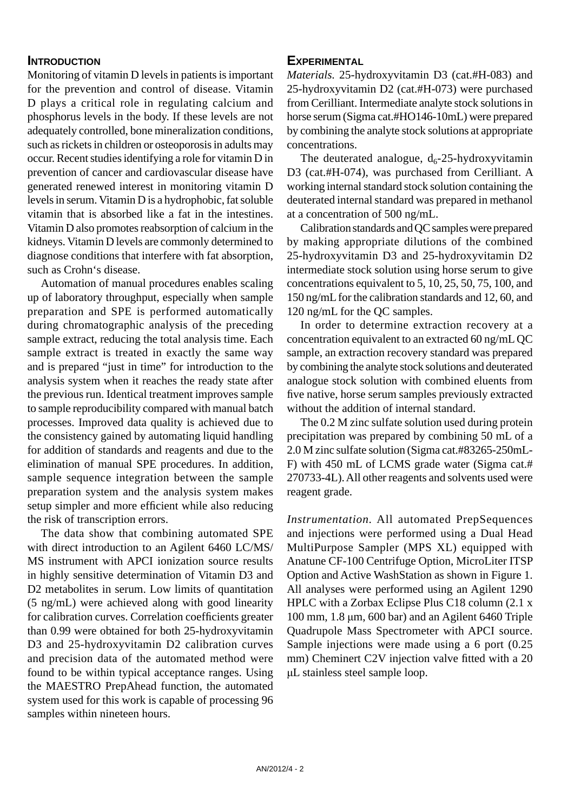# **INTRODUCTION**

Monitoring of vitamin D levels in patients is important for the prevention and control of disease. Vitamin D plays a critical role in regulating calcium and phosphorus levels in the body. If these levels are not adequately controlled, bone mineralization conditions, such as rickets in children or osteoporosis in adults may occur. Recent studies identifying a role for vitamin D in prevention of cancer and cardiovascular disease have generated renewed interest in monitoring vitamin D levels in serum. Vitamin D is a hydrophobic, fat soluble vitamin that is absorbed like a fat in the intestines. Vitamin D also promotes reabsorption of calcium in the kidneys. Vitamin D levels are commonly determined to diagnose conditions that interfere with fat absorption, such as Crohn's disease.

Automation of manual procedures enables scaling up of laboratory throughput, especially when sample preparation and SPE is performed automatically during chromatographic analysis of the preceding sample extract, reducing the total analysis time. Each sample extract is treated in exactly the same way and is prepared "just in time" for introduction to the analysis system when it reaches the ready state after the previous run. Identical treatment improves sample to sample reproducibility compared with manual batch processes. Improved data quality is achieved due to the consistency gained by automating liquid handling for addition of standards and reagents and due to the elimination of manual SPE procedures. In addition, sample sequence integration between the sample preparation system and the analysis system makes setup simpler and more efficient while also reducing the risk of transcription errors.

The data show that combining automated SPE with direct introduction to an Agilent 6460 LC/MS/ MS instrument with APCI ionization source results in highly sensitive determination of Vitamin D3 and D2 metabolites in serum. Low limits of quantitation (5 ng/mL) were achieved along with good linearity for calibration curves. Correlation coefficients greater than 0.99 were obtained for both 25-hydroxyvitamin D3 and 25-hydroxyvitamin D2 calibration curves and precision data of the automated method were found to be within typical acceptance ranges. Using the MAESTRO PrepAhead function, the automated system used for this work is capable of processing 96 samples within nineteen hours.

### **EXPERIMENTAL**

*Materials.* 25-hydroxyvitamin D3 (cat.#H-083) and 25-hydroxyvitamin D2 (cat.#H-073) were purchased from Cerilliant. Intermediate analyte stock solutions in horse serum (Sigma cat.#HO146-10mL) were prepared by combining the analyte stock solutions at appropriate concentrations.

The deuterated analogue,  $d_6$ -25-hydroxyvitamin D3 (cat.#H-074), was purchased from Cerilliant. A working internal standard stock solution containing the deuterated internal standard was prepared in methanol at a concentration of 500 ng/mL.

Calibration standards and QC samples were prepared by making appropriate dilutions of the combined 25-hydroxyvitamin D3 and 25-hydroxyvitamin D2 intermediate stock solution using horse serum to give concentrations equivalent to 5, 10, 25, 50, 75, 100, and 150 ng/mL for the calibration standards and 12, 60, and 120 ng/mL for the QC samples.

In order to determine extraction recovery at a concentration equivalent to an extracted 60 ng/mL QC sample, an extraction recovery standard was prepared by combining the analyte stock solutions and deuterated analogue stock solution with combined eluents from five native, horse serum samples previously extracted without the addition of internal standard.

The 0.2 M zinc sulfate solution used during protein precipitation was prepared by combining 50 mL of a 2.0 M zinc sulfate solution (Sigma cat.#83265-250mL-F) with 450 mL of LCMS grade water (Sigma cat.# 270733-4L). All other reagents and solvents used were reagent grade.

*Instrumentation.* All automated PrepSequences and injections were performed using a Dual Head MultiPurpose Sampler (MPS XL) equipped with Anatune CF-100 Centrifuge Option, MicroLiter ITSP Option and Active WashStation as shown in Figure 1. All analyses were performed using an Agilent 1290 HPLC with a Zorbax Eclipse Plus C18 column (2.1 x 100 mm, 1.8 μm, 600 bar) and an Agilent 6460 Triple Quadrupole Mass Spectrometer with APCI source. Sample injections were made using a 6 port (0.25 mm) Cheminert C2V injection valve fitted with a 20 μL stainless steel sample loop.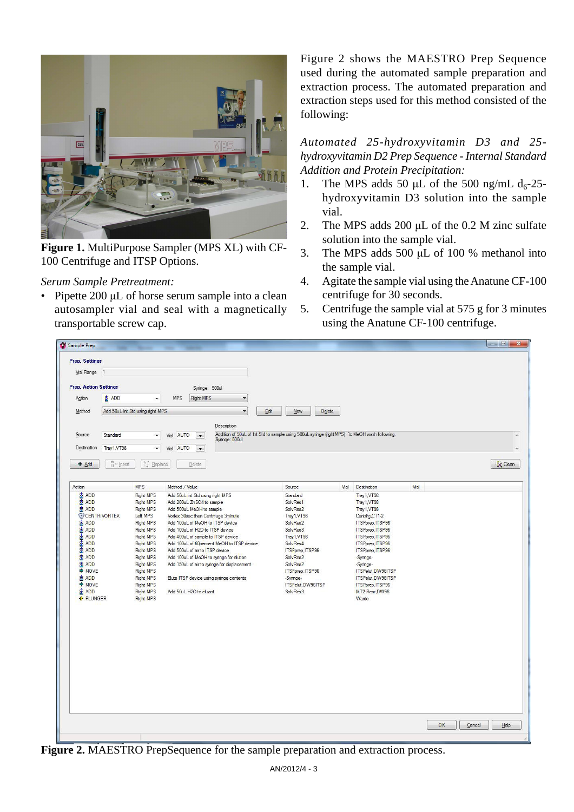

**Figure 1.** MultiPurpose Sampler (MPS XL) with CF-100 Centrifuge and ITSP Options.

# *Serum Sample Pretreatment:*

• Pipette 200 μL of horse serum sample into a clean autosampler vial and seal with a magnetically transportable screw cap.

Figure 2 shows the MAESTRO Prep Sequence used during the automated sample preparation and extraction process. The automated preparation and extraction steps used for this method consisted of the following:

*Automated 25-hydroxyvitamin D3 and 25 hydroxyvitamin D2 Prep Sequence - Internal Standard Addition and Protein Precipitation:*

- 1. The MPS adds 50  $\mu$ L of the 500 ng/mL d<sub>6</sub>-25hydroxyvitamin D3 solution into the sample vial.
- 2. The MPS adds 200  $\mu$ L of the 0.2 M zinc sulfate solution into the sample vial.
- 3. The MPS adds 500 μL of 100 % methanol into the sample vial.
- 4. Agitate the sample vial using the Anatune CF-100 centrifuge for 30 seconds.
- 5. Centrifuge the sample vial at 575 g for 3 minutes using the Anatune CF-100 centrifuge.

| Sample Prep                                                                                                                                                                                                                  |                      |                                                                                                                                                                                                                                                       |                                                                                                                                                                                                                                                                                                                                                                                                                                                                                                    |                                  |                                                                                                                                                                                                                  |      |                                                                                                                                                                                                                                                                               |      |    | $\Box$<br>$\mathbf{x}$<br>in 1911 |
|------------------------------------------------------------------------------------------------------------------------------------------------------------------------------------------------------------------------------|----------------------|-------------------------------------------------------------------------------------------------------------------------------------------------------------------------------------------------------------------------------------------------------|----------------------------------------------------------------------------------------------------------------------------------------------------------------------------------------------------------------------------------------------------------------------------------------------------------------------------------------------------------------------------------------------------------------------------------------------------------------------------------------------------|----------------------------------|------------------------------------------------------------------------------------------------------------------------------------------------------------------------------------------------------------------|------|-------------------------------------------------------------------------------------------------------------------------------------------------------------------------------------------------------------------------------------------------------------------------------|------|----|-----------------------------------|
| <b>Prep. Settings</b>                                                                                                                                                                                                        |                      |                                                                                                                                                                                                                                                       |                                                                                                                                                                                                                                                                                                                                                                                                                                                                                                    |                                  |                                                                                                                                                                                                                  |      |                                                                                                                                                                                                                                                                               |      |    |                                   |
| Vial Range                                                                                                                                                                                                                   | l'1                  |                                                                                                                                                                                                                                                       |                                                                                                                                                                                                                                                                                                                                                                                                                                                                                                    |                                  |                                                                                                                                                                                                                  |      |                                                                                                                                                                                                                                                                               |      |    |                                   |
| <b>Prep. Action Settings</b>                                                                                                                                                                                                 |                      |                                                                                                                                                                                                                                                       | Syringe: 500ul                                                                                                                                                                                                                                                                                                                                                                                                                                                                                     |                                  |                                                                                                                                                                                                                  |      |                                                                                                                                                                                                                                                                               |      |    |                                   |
| Action                                                                                                                                                                                                                       | <b>离 ADD</b>         | ٠                                                                                                                                                                                                                                                     | Right MPS<br><b>MPS</b>                                                                                                                                                                                                                                                                                                                                                                                                                                                                            | $\overline{\phantom{a}}$         |                                                                                                                                                                                                                  |      |                                                                                                                                                                                                                                                                               |      |    |                                   |
| Method                                                                                                                                                                                                                       |                      | Add 50uL Int Std using right MPS                                                                                                                                                                                                                      |                                                                                                                                                                                                                                                                                                                                                                                                                                                                                                    | Edit<br>$\overline{\phantom{a}}$ | Delete<br>New                                                                                                                                                                                                    |      |                                                                                                                                                                                                                                                                               |      |    |                                   |
|                                                                                                                                                                                                                              |                      |                                                                                                                                                                                                                                                       |                                                                                                                                                                                                                                                                                                                                                                                                                                                                                                    |                                  |                                                                                                                                                                                                                  |      |                                                                                                                                                                                                                                                                               |      |    |                                   |
| Source                                                                                                                                                                                                                       | Standard             | $\cdot$                                                                                                                                                                                                                                               | <b>AUTO</b><br>Vial<br>$\cdot$                                                                                                                                                                                                                                                                                                                                                                                                                                                                     | Description                      | Addition of 50uL of Int Std to sample using 500uL syringe (rightMPS). 1x MeOH wash following.                                                                                                                    |      |                                                                                                                                                                                                                                                                               |      |    |                                   |
| Destination                                                                                                                                                                                                                  | Tray1, VT98          | $\blacktriangledown$                                                                                                                                                                                                                                  | Vial AUTO                                                                                                                                                                                                                                                                                                                                                                                                                                                                                          | Syringe: 500ul                   |                                                                                                                                                                                                                  |      |                                                                                                                                                                                                                                                                               |      |    |                                   |
|                                                                                                                                                                                                                              |                      |                                                                                                                                                                                                                                                       | $\overline{ }$                                                                                                                                                                                                                                                                                                                                                                                                                                                                                     |                                  |                                                                                                                                                                                                                  |      |                                                                                                                                                                                                                                                                               |      |    |                                   |
| + Add                                                                                                                                                                                                                        | $\frac{m}{H}$ insert | ☆ Replace                                                                                                                                                                                                                                             | Delete                                                                                                                                                                                                                                                                                                                                                                                                                                                                                             |                                  |                                                                                                                                                                                                                  |      |                                                                                                                                                                                                                                                                               |      |    | Clean                             |
| Action                                                                                                                                                                                                                       |                      | <b>MPS</b>                                                                                                                                                                                                                                            | Method / Value                                                                                                                                                                                                                                                                                                                                                                                                                                                                                     |                                  | Source                                                                                                                                                                                                           | Vial | Destination                                                                                                                                                                                                                                                                   | Vial |    |                                   |
| <b>&amp; ADD</b><br><b>窗 ADD</b><br><b>器 ADD</b><br>CENTRIVORTEX<br>a ADD<br><b>富 ADD</b><br><b>窗 ADD</b><br><b>器 ADD</b><br>窗 ADD<br><b>窗 ADD</b><br>窗 ADD<br><b>→ MOVE</b><br>a ADD<br>→ MOVE<br>a ADD<br><b>A PLUNGER</b> |                      | Right MPS<br><b>Right MPS</b><br><b>Right MPS</b><br>Left MPS<br><b>Right MPS</b><br>Right MPS<br><b>Right MPS</b><br><b>Right MPS</b><br>Right MPS<br>Right MPS<br>Right MPS<br>Right MPS<br>Right MPS<br>Right MPS<br>Right MPS<br><b>Right MPS</b> | Add 50uL Int Std using right MPS<br>Add 200uL ZnSO4 to sample.<br>Add 500uL MeOH to sample<br>Vortex 30sec then Centrifuge 3minute<br>Add 100uL of MeOH to ITSP device<br>Add 100uL of H2O to ITSP device<br>Add 400uL of sample to ITSP device<br>Add 100uL of 60percent MeOH to ITSP device<br>Add 500uL of air to ITSP device<br>Add 100uL of MeOH to syringe for elution<br>Add 150uL of air to syringe for displacement<br>Elute ITSP device using syringe contents<br>Add 50uL H2O to eluant |                                  | Standard<br>SolvRes1<br>SolvRes2<br>Tray1, VT98<br>SolvRes2<br>SolvRes3<br>Trav1.VT98<br>SolvRes4<br>ITSPprep, ITSP96<br>SolvRes2<br>SolvRes2<br>ITSPprep, ITSP96<br>-Syringe-<br>ITSPelut, DW96ITSP<br>SolvRes3 |      | Tray1, VT98<br>Tray1, VT98<br>Tray1, VT98<br>Centrifg CT1-2<br>ITSPprep.ITSP96<br>ITSPprep.ITSP96<br>ITSPprep.ITSP96<br>ITSPprep.ITSP96<br>ITSPprep.ITSP96<br>-Syringe-<br>-Syringe-<br>ITSPelut.DW96ITSP<br>ITSPelut.DW96ITSP<br>ITSPprep, ITSP96<br>MT2-Rear, DW96<br>Waste |      |    |                                   |
|                                                                                                                                                                                                                              |                      |                                                                                                                                                                                                                                                       |                                                                                                                                                                                                                                                                                                                                                                                                                                                                                                    |                                  |                                                                                                                                                                                                                  |      |                                                                                                                                                                                                                                                                               |      | OK | Cancel<br>Help                    |

**Figure 2.** MAESTRO PrepSequence for the sample preparation and extraction process.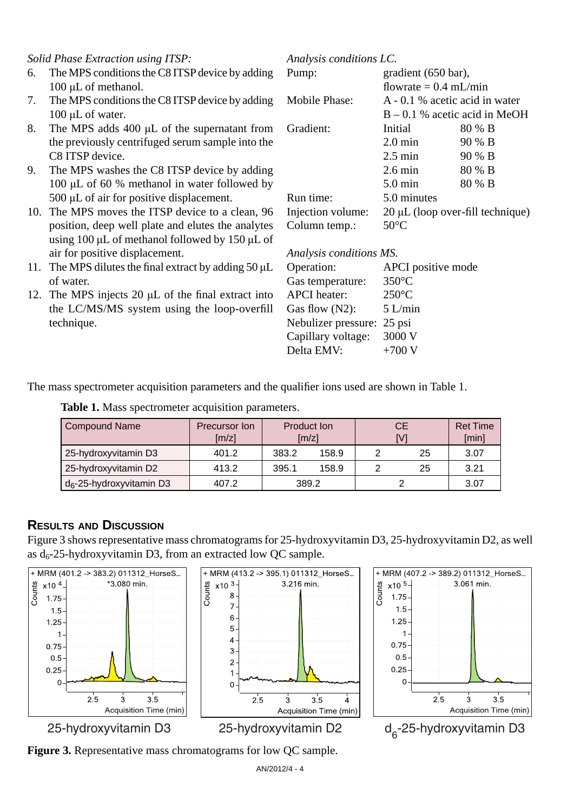# *Solid Phase Extraction using ITSP:*

- 6. The MPS conditions the C8 ITSP device by adding 100 μL of methanol.
- 7. The MPS conditions the C8 ITSP device by adding 100 μL of water.
- 8. The MPS adds 400 μL of the supernatant from the previously centrifuged serum sample into the C8 ITSP device.
- 9. The MPS washes the C8 ITSP device by adding 100 μL of 60 % methanol in water followed by 500 μL of air for positive displacement.
- 10. The MPS moves the ITSP device to a clean, 96 position, deep well plate and elutes the analytes using 100 μL of methanol followed by 150 μL of air for positive displacement.
- 11. The MPS dilutes the final extract by adding  $50 \mu L$ of water.
- 12. The MPS injects 20  $\mu$ L of the final extract into the LC/MS/MS system using the loop-overfill technique.

| Analysis conditions LC. |                                       |                                 |  |  |
|-------------------------|---------------------------------------|---------------------------------|--|--|
| Pump:                   | gradient (650 bar),                   |                                 |  |  |
|                         | flowrate = $0.4$ mL/min               |                                 |  |  |
| Mobile Phase:           | A - 0.1 % acetic acid in water        |                                 |  |  |
|                         |                                       | $B - 0.1$ % acetic acid in MeOH |  |  |
| Gradient:               | Initial                               | 80 % B                          |  |  |
|                         | $2.0 \text{ min}$                     | 90 % B                          |  |  |
|                         | $2.5 \text{ min}$                     | 90 % B                          |  |  |
|                         | $2.6 \text{ min}$                     | 80 % B                          |  |  |
|                         | $5.0 \text{ min}$                     | 80 % B                          |  |  |
| Run time:               | 5.0 minutes                           |                                 |  |  |
| Injection volume:       | $20 \mu L$ (loop over-fill technique) |                                 |  |  |
| Column temp.:           | $50^{\circ}$ C                        |                                 |  |  |

*Analysis conditions MS.*

| APCI positive mode         |
|----------------------------|
| $350^{\circ}$ C            |
| $250^{\circ}$ C            |
| 5 L/min                    |
| Nebulizer pressure: 25 psi |
| 3000 V                     |
| $+700$ V                   |
|                            |

The mass spectrometer acquisition parameters and the qualifier ions used are shown in Table 1.

| <b>Compound Name</b>                 | Precursor Ion<br>[m/z] | <b>Product Ion</b><br>$\left[\frac{m}{z}\right]$ |       | <b>CE</b><br>[V] |    | <b>Ret Time</b><br>[min] |
|--------------------------------------|------------------------|--------------------------------------------------|-------|------------------|----|--------------------------|
| 25-hydroxyvitamin D3                 | 401.2                  | 383.2                                            | 158.9 |                  | 25 | 3.07                     |
| 25-hydroxyvitamin D2                 | 413.2                  | 395.1                                            | 158.9 | っ                | 25 | 3.21                     |
| d <sub>6</sub> -25-hydroxyvitamin D3 | 407.2                  |                                                  | 389.2 |                  |    | 3.07                     |

**Table 1.** Mass spectrometer acquisition parameters.

# **RESULTS AND DISCUSSION**

Figure 3 shows representative mass chromatograms for 25-hydroxyvitamin D3, 25-hydroxyvitamin D2, as well as  $d_6$ -25-hydroxyvitamin D3, from an extracted low QC sample.









2 d<sub>-25</sub>-hydroxyvitamin D3

**Figure 3.** Representative mass chromatograms for low QC sample.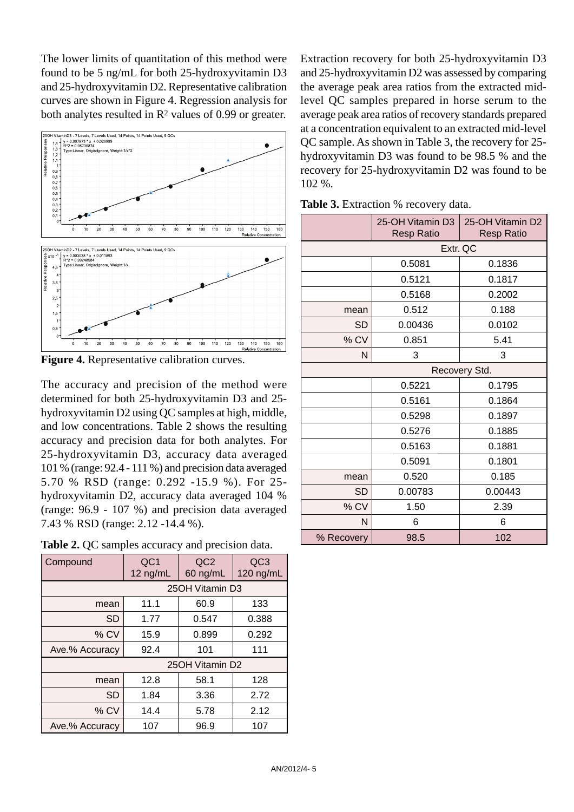The lower limits of quantitation of this method were found to be 5 ng/mL for both 25-hydroxyvitamin D3 and 25-hydroxyvitamin D2. Representative calibration curves are shown in Figure 4. Regression analysis for both analytes resulted in  $\mathbb{R}^2$  values of 0.99 or greater.



**Figure 4.** Representative calibration curves.

The accuracy and precision of the method were determined for both 25-hydroxyvitamin D3 and 25 hydroxyvitamin D2 using QC samples at high, middle, and low concentrations. Table 2 shows the resulting accuracy and precision data for both analytes. For 25-hydroxyvitamin D3, accuracy data averaged 101 % (range: 92.4 - 111 %) and precision data averaged 5.70 % RSD (range: 0.292 -15.9 %). For 25 hydroxyvitamin D2, accuracy data averaged 104 % (range: 96.9 - 107 %) and precision data averaged 7.43 % RSD (range: 2.12 -14.4 %).

| Table 2. QC samples accuracy and precision data. |  |  |
|--------------------------------------------------|--|--|
|--------------------------------------------------|--|--|

| Compound       | QC <sub>1</sub><br>12 $ng/mL$ | QC <sub>2</sub><br>60 ng/mL | QC <sub>3</sub><br>120 ng/mL |  |
|----------------|-------------------------------|-----------------------------|------------------------------|--|
|                |                               | 25OH Vitamin D3             |                              |  |
| mean           | 11.1                          | 60.9                        | 133                          |  |
| SD             | 1.77                          | 0.547                       | 0.388                        |  |
| $%$ CV         | 15.9                          | 0.899                       | 0.292                        |  |
| Ave.% Accuracy | 92.4                          | 101                         | 111                          |  |
|                |                               | 25OH Vitamin D2             |                              |  |
| mean           | 12.8                          | 58.1                        | 128                          |  |
| SD             | 1.84                          | 3.36                        | 2.72                         |  |
| $%$ CV         | 14.4                          | 5.78                        | 2.12                         |  |
| Ave.% Accuracy | 107                           | 96.9                        | 107                          |  |

Extraction recovery for both 25-hydroxyvitamin D3 and 25-hydroxyvitamin D2 was assessed by comparing the average peak area ratios from the extracted midlevel QC samples prepared in horse serum to the average peak area ratios of recovery standards prepared at a concentration equivalent to an extracted mid-level QC sample. As shown in Table 3, the recovery for 25 hydroxyvitamin D3 was found to be 98.5 % and the recovery for 25-hydroxyvitamin D2 was found to be 102 %.

| Table 3. Extraction % recovery data. |  |  |  |
|--------------------------------------|--|--|--|
|--------------------------------------|--|--|--|

|            | 25-OH Vitamin D3<br><b>Resp Ratio</b> | 25-OH Vitamin D2<br><b>Resp Ratio</b> |  |  |
|------------|---------------------------------------|---------------------------------------|--|--|
|            | Extr. QC                              |                                       |  |  |
|            | 0.5081                                | 0.1836                                |  |  |
|            | 0.5121                                | 0.1817                                |  |  |
|            | 0.5168                                | 0.2002                                |  |  |
| mean       | 0.512                                 | 0.188                                 |  |  |
| SD         | 0.00436                               | 0.0102                                |  |  |
| % CV       | 0.851                                 | 5.41                                  |  |  |
| N          | 3                                     | 3                                     |  |  |
|            | Recovery Std.                         |                                       |  |  |
|            | 0.5221                                | 0.1795                                |  |  |
|            | 0.5161                                | 0.1864                                |  |  |
|            | 0.5298                                | 0.1897                                |  |  |
|            | 0.5276                                | 0.1885                                |  |  |
|            | 0.5163                                | 0.1881                                |  |  |
|            | 0.5091                                | 0.1801                                |  |  |
| mean       | 0.520                                 | 0.185                                 |  |  |
| SD         | 0.00783                               | 0.00443                               |  |  |
| % CV       | 1.50                                  | 2.39                                  |  |  |
| N          | 6                                     | 6                                     |  |  |
| % Recovery | 98.5                                  | 102                                   |  |  |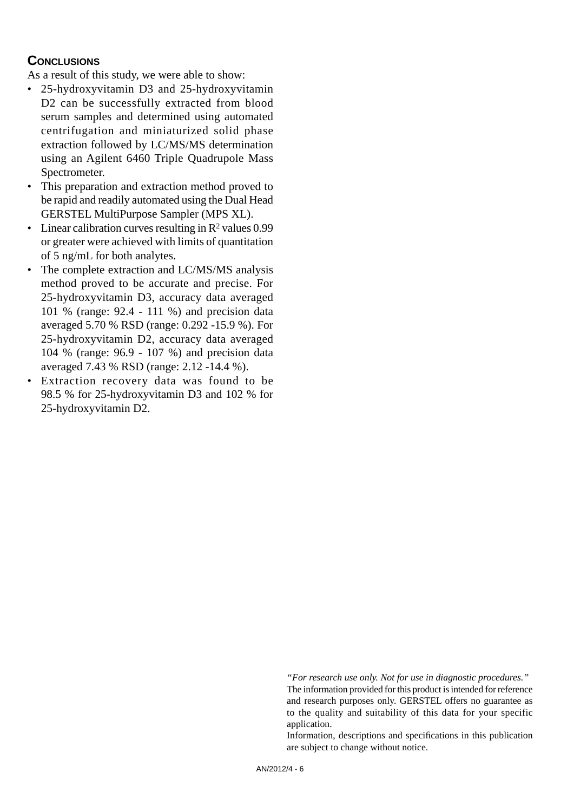# **CONCLUSIONS**

As a result of this study, we were able to show:

- 25-hydroxyvitamin D3 and 25-hydroxyvitamin D2 can be successfully extracted from blood serum samples and determined using automated centrifugation and miniaturized solid phase extraction followed by LC/MS/MS determination using an Agilent 6460 Triple Quadrupole Mass Spectrometer.
- This preparation and extraction method proved to be rapid and readily automated using the Dual Head GERSTEL MultiPurpose Sampler (MPS XL).
- Linear calibration curves resulting in  $\mathbb{R}^2$  values 0.99 or greater were achieved with limits of quantitation of 5 ng/mL for both analytes.
- The complete extraction and LC/MS/MS analysis method proved to be accurate and precise. For 25-hydroxyvitamin D3, accuracy data averaged 101 % (range: 92.4 - 111 %) and precision data averaged 5.70 % RSD (range: 0.292 -15.9 %). For 25-hydroxyvitamin D2, accuracy data averaged 104 % (range: 96.9 - 107 %) and precision data averaged 7.43 % RSD (range: 2.12 -14.4 %).
- Extraction recovery data was found to be 98.5 % for 25-hydroxyvitamin D3 and 102 % for 25-hydroxyvitamin D2.

*"For research use only. Not for use in diagnostic procedures."* The information provided for this product is intended for reference and research purposes only. GERSTEL offers no guarantee as to the quality and suitability of this data for your specific application.

Information, descriptions and specifications in this publication are subject to change without notice.